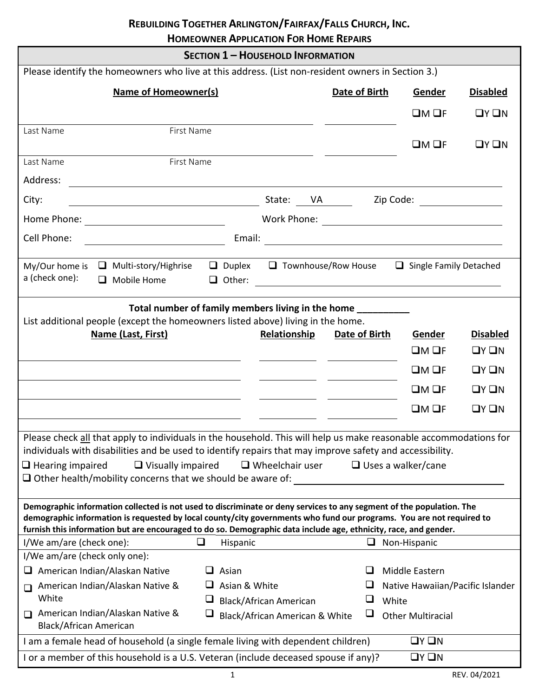# **REBUILDING TOGETHER ARLINGTON/FAIRFAX/FALLS CHURCH, INC.**

**HOMEOWNER APPLICATION FOR HOME REPAIRS**

 $\overline{a}$ 

|                                                                                                                                                                                                                                                                                                                                                                  |                      | <b>SECTION 1 - HOUSEHOLD INFORMATION</b>                        |               |                                                                                                                                                                                                                                |                         |
|------------------------------------------------------------------------------------------------------------------------------------------------------------------------------------------------------------------------------------------------------------------------------------------------------------------------------------------------------------------|----------------------|-----------------------------------------------------------------|---------------|--------------------------------------------------------------------------------------------------------------------------------------------------------------------------------------------------------------------------------|-------------------------|
| Please identify the homeowners who live at this address. (List non-resident owners in Section 3.)                                                                                                                                                                                                                                                                |                      |                                                                 |               |                                                                                                                                                                                                                                |                         |
| <b>Name of Homeowner(s)</b>                                                                                                                                                                                                                                                                                                                                      |                      |                                                                 | Date of Birth | Gender                                                                                                                                                                                                                         | <b>Disabled</b>         |
|                                                                                                                                                                                                                                                                                                                                                                  |                      |                                                                 |               | $QM$ $QF$                                                                                                                                                                                                                      | QYQN                    |
| First Name<br>Last Name                                                                                                                                                                                                                                                                                                                                          |                      |                                                                 |               | $QM$ $QF$                                                                                                                                                                                                                      | QYQN                    |
| First Name<br>Last Name                                                                                                                                                                                                                                                                                                                                          |                      |                                                                 |               |                                                                                                                                                                                                                                |                         |
| Address:                                                                                                                                                                                                                                                                                                                                                         |                      |                                                                 |               |                                                                                                                                                                                                                                |                         |
| City:<br>entity of the State: <u>UA Cip Code:</u> Cip Code: Entity of the State: Cip Code: Entity of the State: Cip Code: Entity of the State State: Cip Code: Entity of the State State State State State State State State State State Sta                                                                                                                     |                      |                                                                 |               |                                                                                                                                                                                                                                |                         |
|                                                                                                                                                                                                                                                                                                                                                                  |                      |                                                                 |               |                                                                                                                                                                                                                                |                         |
| Cell Phone:                                                                                                                                                                                                                                                                                                                                                      |                      |                                                                 |               | Email: Email: Email: Email: Email: Email: Email: Email: Email: Email: Email: Email: Email: Email: Email: Email: Email: Email: Email: Email: Email: Email: Email: Email: Email: Email: Email: Email: Email: Email: Email: Email |                         |
| Multi-story/Highrise<br>My/Our home is<br>a (check one):<br>$\Box$ Mobile Home                                                                                                                                                                                                                                                                                   |                      |                                                                 |               | $\Box$ Duplex $\Box$ Townhouse/Row House $\Box$ Single Family Detached                                                                                                                                                         |                         |
| Total number of family members living in the home<br>List additional people (except the homeowners listed above) living in the home.<br>Name (Last, First)                                                                                                                                                                                                       |                      | Relationship                                                    | Date of Birth | Gender<br>$LM$ $QF$                                                                                                                                                                                                            | <b>Disabled</b><br>QYQN |
|                                                                                                                                                                                                                                                                                                                                                                  |                      |                                                                 |               | $LM$ OF                                                                                                                                                                                                                        | $\Box Y \Box N$         |
|                                                                                                                                                                                                                                                                                                                                                                  |                      |                                                                 |               | $LM$ OF                                                                                                                                                                                                                        | $\Box Y \Box N$         |
|                                                                                                                                                                                                                                                                                                                                                                  |                      |                                                                 |               | $QM$ OF                                                                                                                                                                                                                        | $\Box Y \Box N$         |
| Please check all that apply to individuals in the household. This will help us make reasonable accommodations for<br>individuals with disabilities and be used to identify repairs that may improve safety and accessibility.<br>$\Box$ Hearing impaired<br>$\Box$ Visually impaired<br>$\Box$ Other health/mobility concerns that we should be aware of:        |                      | $\Box$ Wheelchair user                                          |               | $\Box$ Uses a walker/cane                                                                                                                                                                                                      |                         |
| Demographic information collected is not used to discriminate or deny services to any segment of the population. The<br>demographic information is requested by local county/city governments who fund our programs. You are not required to<br>furnish this information but are encouraged to do so. Demographic data include age, ethnicity, race, and gender. |                      |                                                                 |               |                                                                                                                                                                                                                                |                         |
| I/We am/are (check one):                                                                                                                                                                                                                                                                                                                                         | Hispanic             |                                                                 |               | $\Box$ Non-Hispanic                                                                                                                                                                                                            |                         |
| I/We am/are (check only one):                                                                                                                                                                                                                                                                                                                                    |                      |                                                                 |               |                                                                                                                                                                                                                                |                         |
| American Indian/Alaskan Native<br>u                                                                                                                                                                                                                                                                                                                              | Asian<br>ப           |                                                                 |               | Middle Eastern                                                                                                                                                                                                                 |                         |
| American Indian/Alaskan Native &<br>□                                                                                                                                                                                                                                                                                                                            | $\Box$ Asian & White |                                                                 |               | Native Hawaiian/Pacific Islander                                                                                                                                                                                               |                         |
| White<br>American Indian/Alaskan Native &<br><b>Black/African American</b>                                                                                                                                                                                                                                                                                       | ⊔<br>⊔               | <b>Black/African American</b><br>Black/African American & White | ⊔<br>⊔        | White<br><b>Other Multiracial</b>                                                                                                                                                                                              |                         |
| I am a female head of household (a single female living with dependent children)                                                                                                                                                                                                                                                                                 |                      |                                                                 |               | $\Box Y \Box N$                                                                                                                                                                                                                |                         |
| I or a member of this household is a U.S. Veteran (include deceased spouse if any)?                                                                                                                                                                                                                                                                              |                      |                                                                 |               | $\Box Y \Box N$                                                                                                                                                                                                                |                         |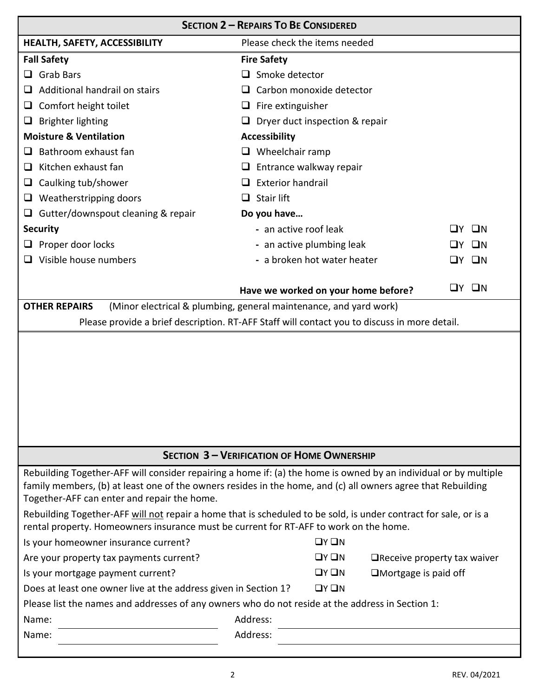|                                                                                                                                      | <b>SECTION 2 - REPAIRS TO BE CONSIDERED</b>                                                                                                                                                                                                                                                                                                          |
|--------------------------------------------------------------------------------------------------------------------------------------|------------------------------------------------------------------------------------------------------------------------------------------------------------------------------------------------------------------------------------------------------------------------------------------------------------------------------------------------------|
| HEALTH, SAFETY, ACCESSIBILITY                                                                                                        | Please check the items needed                                                                                                                                                                                                                                                                                                                        |
| <b>Fall Safety</b>                                                                                                                   | <b>Fire Safety</b>                                                                                                                                                                                                                                                                                                                                   |
| <b>Grab Bars</b><br>ப                                                                                                                | $\Box$ Smoke detector                                                                                                                                                                                                                                                                                                                                |
| Additional handrail on stairs<br>⊔                                                                                                   | Carbon monoxide detector                                                                                                                                                                                                                                                                                                                             |
| Comfort height toilet<br>⊔                                                                                                           | $\Box$ Fire extinguisher                                                                                                                                                                                                                                                                                                                             |
| <b>Brighter lighting</b><br>⊔                                                                                                        | $\Box$ Dryer duct inspection & repair                                                                                                                                                                                                                                                                                                                |
| <b>Moisture &amp; Ventilation</b>                                                                                                    | <b>Accessibility</b>                                                                                                                                                                                                                                                                                                                                 |
| Bathroom exhaust fan                                                                                                                 | $\Box$ Wheelchair ramp                                                                                                                                                                                                                                                                                                                               |
| Kitchen exhaust fan<br>⊔                                                                                                             | Entrance walkway repair<br>⊔                                                                                                                                                                                                                                                                                                                         |
| Caulking tub/shower<br>⊔                                                                                                             | <b>Exterior handrail</b>                                                                                                                                                                                                                                                                                                                             |
| Weatherstripping doors<br>u.                                                                                                         | Stair lift                                                                                                                                                                                                                                                                                                                                           |
| $\Box$ Gutter/downspout cleaning & repair                                                                                            | Do you have                                                                                                                                                                                                                                                                                                                                          |
| <b>Security</b>                                                                                                                      | - an active roof leak<br>ШN<br>I IV                                                                                                                                                                                                                                                                                                                  |
| Proper door locks                                                                                                                    | - an active plumbing leak<br>ПN                                                                                                                                                                                                                                                                                                                      |
| $\Box$ Visible house numbers                                                                                                         | - a broken hot water heater<br>$\square$ N<br>LIY.                                                                                                                                                                                                                                                                                                   |
|                                                                                                                                      |                                                                                                                                                                                                                                                                                                                                                      |
|                                                                                                                                      | $\square$ N<br>∐Y I<br>Have we worked on your home before?                                                                                                                                                                                                                                                                                           |
| <b>OTHER REPAIRS</b>                                                                                                                 | (Minor electrical & plumbing, general maintenance, and yard work)                                                                                                                                                                                                                                                                                    |
|                                                                                                                                      | Please provide a brief description. RT-AFF Staff will contact you to discuss in more detail.                                                                                                                                                                                                                                                         |
|                                                                                                                                      |                                                                                                                                                                                                                                                                                                                                                      |
|                                                                                                                                      | <b>SECTION 3 - VERIFICATION OF HOME OWNERSHIP</b>                                                                                                                                                                                                                                                                                                    |
| Together-AFF can enter and repair the home.<br>rental property. Homeowners insurance must be current for RT-AFF to work on the home. | Rebuilding Together-AFF will consider repairing a home if: (a) the home is owned by an individual or by multiple<br>family members, (b) at least one of the owners resides in the home, and (c) all owners agree that Rebuilding<br>Rebuilding Together-AFF will not repair a home that is scheduled to be sold, is under contract for sale, or is a |
| Is your homeowner insurance current?                                                                                                 | $\Box Y \Box N$                                                                                                                                                                                                                                                                                                                                      |
| Are your property tax payments current?                                                                                              | $\Box Y \Box N$<br>$\Box$ Receive property tax waiver                                                                                                                                                                                                                                                                                                |
| Is your mortgage payment current?                                                                                                    | $\Box Y \Box N$<br>$\square$ Mortgage is paid off                                                                                                                                                                                                                                                                                                    |
| Does at least one owner live at the address given in Section 1?                                                                      | $\Box Y \Box N$                                                                                                                                                                                                                                                                                                                                      |
| Please list the names and addresses of any owners who do not reside at the address in Section 1:                                     |                                                                                                                                                                                                                                                                                                                                                      |
| Name:                                                                                                                                | Address:                                                                                                                                                                                                                                                                                                                                             |
| Name:                                                                                                                                | Address:                                                                                                                                                                                                                                                                                                                                             |
|                                                                                                                                      |                                                                                                                                                                                                                                                                                                                                                      |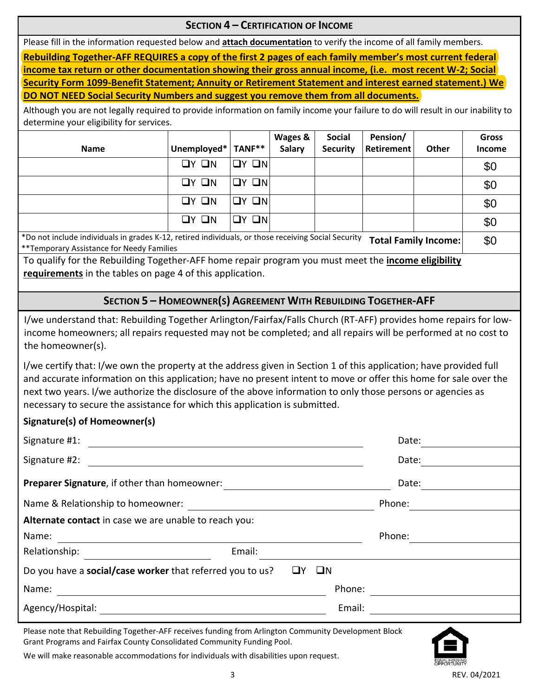#### **SECTION 4 – CERTIFICATION OF INCOME**

Please fill in the information requested below and **attach documentation** to verify the income of all family members.

**Rebuilding Together-AFF REQUIRES a copy of the first 2 pages of each family member's most current federal income tax return or other documentation showing their gross annual income, (i.e. most recent W-2; Social Security Form 1099-Benefit Statement; Annuity or Retirement Statement and interest earned statement.) We DO NOT NEED Social Security Numbers and suggest you remove them from all documents.**

Although you are not legally required to provide information on family income your failure to do will result in our inability to determine your eligibility for services.

| <b>Name</b>                                                                                         | Unemployed*       | TANF**  | Wages &<br>Salary | <b>Social</b><br><b>Security</b> | Pension/<br><b>Retirement</b> | <b>Other</b>                | <b>Gross</b><br><b>Income</b> |
|-----------------------------------------------------------------------------------------------------|-------------------|---------|-------------------|----------------------------------|-------------------------------|-----------------------------|-------------------------------|
|                                                                                                     | $\Box Y$ $\Box N$ | IOY ON  |                   |                                  |                               |                             | \$0                           |
|                                                                                                     | $\Box Y$ $\Box N$ | IOY ONI |                   |                                  |                               |                             | \$0                           |
|                                                                                                     | $QY$ $QN$         | IOY ONI |                   |                                  |                               |                             | \$0                           |
|                                                                                                     | $\Box$ Y $\Box$ N | IOY ON  |                   |                                  |                               |                             | \$0                           |
| *Do not include individuals in grades K-12, retired individuals, or those receiving Social Security |                   |         |                   |                                  |                               | <b>Total Family Income:</b> | \$0                           |

\*Do not include individuals in grades K-12, retired individuals, or those receiving Social Security **Total Family Income:** \*\*Temporary Assistance for Needy Families

To qualify for the Rebuilding Together-AFF home repair program you must meet the **income eligibility requirements** in the tables on page 4 of this application.

#### **SECTION 5 – HOMEOWNER(S) AGREEMENT WITH REBUILDING TOGETHER-AFF**

I/we understand that: Rebuilding Together Arlington/Fairfax/Falls Church (RT-AFF) provides home repairs for lowincome homeowners; all repairs requested may not be completed; and all repairs will be performed at no cost to the homeowner(s).

I/we certify that: I/we own the property at the address given in Section 1 of this application; have provided full and accurate information on this application; have no present intent to move or offer this home for sale over the next two years. I/we authorize the disclosure of the above information to only those persons or agencies as necessary to secure the assistance for which this application is submitted.

#### **Signature(s) of Homeowner(s)**

| Signature #1:                                             |                   | Date:  |
|-----------------------------------------------------------|-------------------|--------|
| Signature #2:                                             |                   | Date:  |
| Preparer Signature, if other than homeowner:              |                   | Date:  |
| Name & Relationship to homeowner:                         |                   | Phone: |
| Alternate contact in case we are unable to reach you:     |                   |        |
| Name:                                                     |                   | Phone: |
| Relationship:                                             | Email:            |        |
| Do you have a social/case worker that referred you to us? | $\square N$<br>ШY |        |
| Name:                                                     |                   | Phone: |
| Agency/Hospital:                                          |                   | Email: |

Please note that Rebuilding Together-AFF receives funding from Arlington Community Development Block Grant Programs and Fairfax County Consolidated Community Funding Pool.



We will make reasonable accommodations for individuals with disabilities upon request.